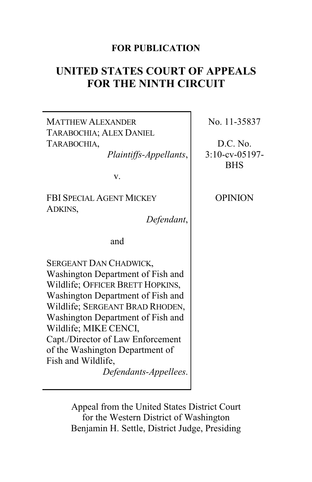# **FOR PUBLICATION**

# **UNITED STATES COURT OF APPEALS FOR THE NINTH CIRCUIT**

MATTHEW ALEXANDER TARABOCHIA; ALEX DANIEL TARABOCHIA, *Plaintiffs-Appellants*, v. FBI SPECIAL AGENT MICKEY ADKINS, *Defendant*, and SERGEANT DAN CHADWICK, Washington Department of Fish and Wildlife; OFFICER BRETT HOPKINS, Washington Department of Fish and Wildlife; SERGEANT BRAD RHODEN, Washington Department of Fish and Wildlife; MIKE CENCI, Capt./Director of Law Enforcement of the Washington Department of Fish and Wildlife, *Defendants-Appellees*. No. 11-35837 D.C. No. 3:10-cv-05197- BHS **OPINION** 

> Appeal from the United States District Court for the Western District of Washington Benjamin H. Settle, District Judge, Presiding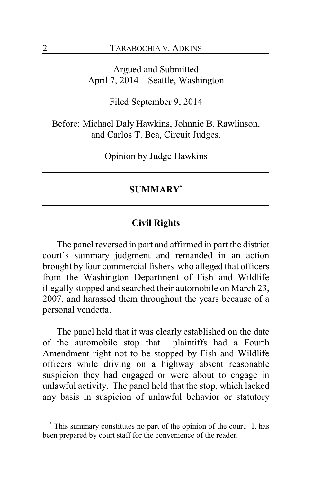Argued and Submitted April 7, 2014—Seattle, Washington

Filed September 9, 2014

Before: Michael Daly Hawkins, Johnnie B. Rawlinson, and Carlos T. Bea, Circuit Judges.

Opinion by Judge Hawkins

# **SUMMARY\***

## **Civil Rights**

The panel reversed in part and affirmed in part the district court's summary judgment and remanded in an action brought by four commercial fishers who alleged that officers from the Washington Department of Fish and Wildlife illegally stopped and searched their automobile on March 23, 2007, and harassed them throughout the years because of a personal vendetta.

The panel held that it was clearly established on the date of the automobile stop that plaintiffs had a Fourth Amendment right not to be stopped by Fish and Wildlife officers while driving on a highway absent reasonable suspicion they had engaged or were about to engage in unlawful activity. The panel held that the stop, which lacked any basis in suspicion of unlawful behavior or statutory

**<sup>\*</sup>** This summary constitutes no part of the opinion of the court. It has been prepared by court staff for the convenience of the reader.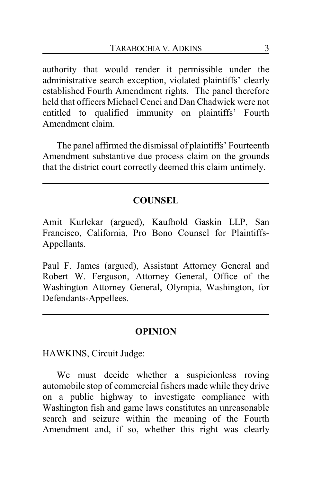authority that would render it permissible under the administrative search exception, violated plaintiffs' clearly established Fourth Amendment rights. The panel therefore held that officers Michael Cenci and Dan Chadwick were not entitled to qualified immunity on plaintiffs' Fourth Amendment claim.

The panel affirmed the dismissal of plaintiffs' Fourteenth Amendment substantive due process claim on the grounds that the district court correctly deemed this claim untimely.

## **COUNSEL**

Amit Kurlekar (argued), Kaufhold Gaskin LLP, San Francisco, California, Pro Bono Counsel for Plaintiffs-Appellants.

Paul F. James (argued), Assistant Attorney General and Robert W. Ferguson, Attorney General, Office of the Washington Attorney General, Olympia, Washington, for Defendants-Appellees.

#### **OPINION**

HAWKINS, Circuit Judge:

We must decide whether a suspicionless roving automobile stop of commercial fishers made while they drive on a public highway to investigate compliance with Washington fish and game laws constitutes an unreasonable search and seizure within the meaning of the Fourth Amendment and, if so, whether this right was clearly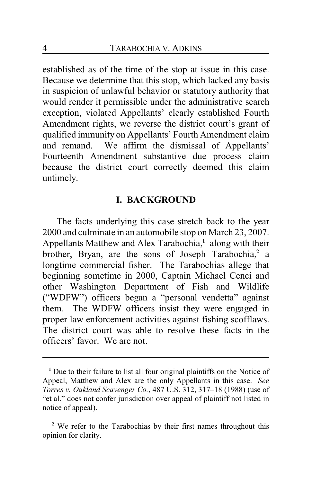established as of the time of the stop at issue in this case. Because we determine that this stop, which lacked any basis in suspicion of unlawful behavior or statutory authority that would render it permissible under the administrative search exception, violated Appellants' clearly established Fourth Amendment rights, we reverse the district court's grant of qualified immunity on Appellants' Fourth Amendment claim and remand. We affirm the dismissal of Appellants' Fourteenth Amendment substantive due process claim because the district court correctly deemed this claim untimely.

## **I. BACKGROUND**

The facts underlying this case stretch back to the year 2000 and culminate in an automobile stop on March 23, 2007. Appellants Matthew and Alex Tarabochia,**<sup>1</sup>** along with their brother, Bryan, are the sons of Joseph Tarabochia,<sup>2</sup> a longtime commercial fisher. The Tarabochias allege that beginning sometime in 2000, Captain Michael Cenci and other Washington Department of Fish and Wildlife ("WDFW") officers began a "personal vendetta" against them. The WDFW officers insist they were engaged in proper law enforcement activities against fishing scofflaws. The district court was able to resolve these facts in the officers' favor. We are not.

**<sup>1</sup>** Due to their failure to list all four original plaintiffs on the Notice of Appeal, Matthew and Alex are the only Appellants in this case. *See Torres v. Oakland Scavenger Co.*, 487 U.S. 312, 317–18 (1988) (use of "et al." does not confer jurisdiction over appeal of plaintiff not listed in notice of appeal).

<sup>&</sup>lt;sup>2</sup> We refer to the Tarabochias by their first names throughout this opinion for clarity.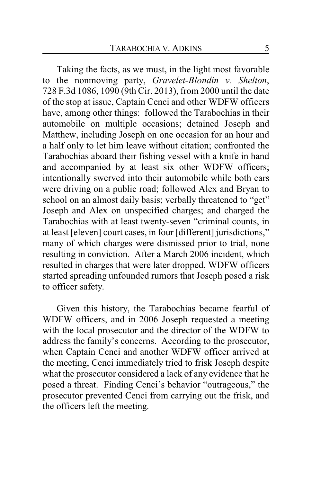Taking the facts, as we must, in the light most favorable to the nonmoving party, *Gravelet-Blondin v. Shelton*, 728 F.3d 1086, 1090 (9th Cir. 2013), from 2000 until the date of the stop at issue, Captain Cenci and other WDFW officers have, among other things: followed the Tarabochias in their automobile on multiple occasions; detained Joseph and Matthew, including Joseph on one occasion for an hour and a half only to let him leave without citation; confronted the Tarabochias aboard their fishing vessel with a knife in hand and accompanied by at least six other WDFW officers; intentionally swerved into their automobile while both cars were driving on a public road; followed Alex and Bryan to school on an almost daily basis; verbally threatened to "get" Joseph and Alex on unspecified charges; and charged the Tarabochias with at least twenty-seven "criminal counts, in at least [eleven] court cases, in four [different] jurisdictions," many of which charges were dismissed prior to trial, none resulting in conviction. After a March 2006 incident, which resulted in charges that were later dropped, WDFW officers started spreading unfounded rumors that Joseph posed a risk to officer safety.

Given this history, the Tarabochias became fearful of WDFW officers, and in 2006 Joseph requested a meeting with the local prosecutor and the director of the WDFW to address the family's concerns. According to the prosecutor, when Captain Cenci and another WDFW officer arrived at the meeting, Cenci immediately tried to frisk Joseph despite what the prosecutor considered a lack of any evidence that he posed a threat. Finding Cenci's behavior "outrageous," the prosecutor prevented Cenci from carrying out the frisk, and the officers left the meeting.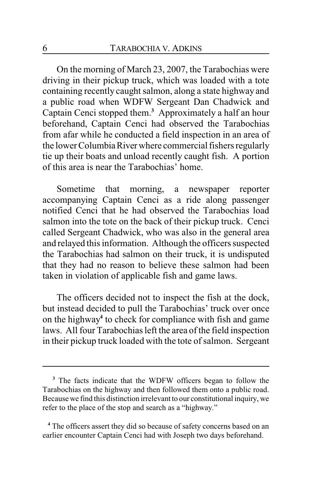On the morning of March 23, 2007, the Tarabochias were driving in their pickup truck, which was loaded with a tote containing recently caught salmon, along a state highway and a public road when WDFW Sergeant Dan Chadwick and Captain Cenci stopped them.**<sup>3</sup>** Approximately a half an hour beforehand, Captain Cenci had observed the Tarabochias from afar while he conducted a field inspection in an area of the lower ColumbiaRiverwhere commercial fishers regularly tie up their boats and unload recently caught fish. A portion of this area is near the Tarabochias' home.

Sometime that morning, a newspaper reporter accompanying Captain Cenci as a ride along passenger notified Cenci that he had observed the Tarabochias load salmon into the tote on the back of their pickup truck. Cenci called Sergeant Chadwick, who was also in the general area and relayed this information. Although the officers suspected the Tarabochias had salmon on their truck, it is undisputed that they had no reason to believe these salmon had been taken in violation of applicable fish and game laws.

The officers decided not to inspect the fish at the dock, but instead decided to pull the Tarabochias' truck over once on the highway**<sup>4</sup>** to check for compliance with fish and game laws. All four Tarabochias left the area of the field inspection in their pickup truck loaded with the tote of salmon. Sergeant

**<sup>3</sup>** The facts indicate that the WDFW officers began to follow the Tarabochias on the highway and then followed them onto a public road. Because we find this distinction irrelevant to our constitutional inquiry, we refer to the place of the stop and search as a "highway."

<sup>&</sup>lt;sup>4</sup> The officers assert they did so because of safety concerns based on an earlier encounter Captain Cenci had with Joseph two days beforehand.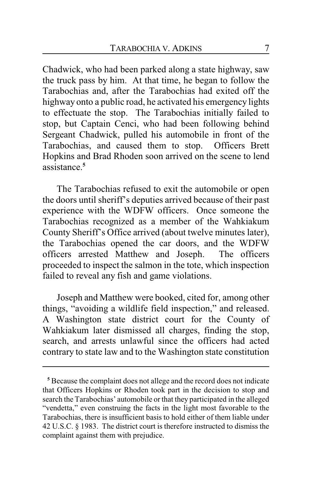Chadwick, who had been parked along a state highway, saw the truck pass by him. At that time, he began to follow the Tarabochias and, after the Tarabochias had exited off the highway onto a public road, he activated his emergency lights to effectuate the stop. The Tarabochias initially failed to stop, but Captain Cenci, who had been following behind Sergeant Chadwick, pulled his automobile in front of the Tarabochias, and caused them to stop. Officers Brett Hopkins and Brad Rhoden soon arrived on the scene to lend assistance.**<sup>5</sup>**

The Tarabochias refused to exit the automobile or open the doors until sheriff's deputies arrived because of their past experience with the WDFW officers. Once someone the Tarabochias recognized as a member of the Wahkiakum County Sheriff's Office arrived (about twelve minutes later), the Tarabochias opened the car doors, and the WDFW officers arrested Matthew and Joseph. The officers proceeded to inspect the salmon in the tote, which inspection failed to reveal any fish and game violations.

Joseph and Matthew were booked, cited for, among other things, "avoiding a wildlife field inspection," and released. A Washington state district court for the County of Wahkiakum later dismissed all charges, finding the stop, search, and arrests unlawful since the officers had acted contrary to state law and to the Washington state constitution

**<sup>5</sup>** Because the complaint does not allege and the record does not indicate that Officers Hopkins or Rhoden took part in the decision to stop and search the Tarabochias' automobile or that they participated in the alleged "vendetta," even construing the facts in the light most favorable to the Tarabochias, there is insufficient basis to hold either of them liable under 42 U.S.C. § 1983. The district court is therefore instructed to dismiss the complaint against them with prejudice.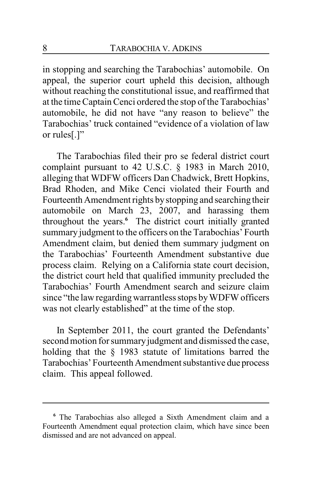in stopping and searching the Tarabochias' automobile. On appeal, the superior court upheld this decision, although without reaching the constitutional issue, and reaffirmed that at the time Captain Cenci ordered the stop of the Tarabochias' automobile, he did not have "any reason to believe" the Tarabochias' truck contained "evidence of a violation of law or rules[.]"

The Tarabochias filed their pro se federal district court complaint pursuant to 42 U.S.C. § 1983 in March 2010, alleging that WDFW officers Dan Chadwick, Brett Hopkins, Brad Rhoden, and Mike Cenci violated their Fourth and Fourteenth Amendment rights bystopping and searching their automobile on March 23, 2007, and harassing them throughout the years.**<sup>6</sup>** The district court initially granted summary judgment to the officers on the Tarabochias' Fourth Amendment claim, but denied them summary judgment on the Tarabochias' Fourteenth Amendment substantive due process claim. Relying on a California state court decision, the district court held that qualified immunity precluded the Tarabochias' Fourth Amendment search and seizure claim since "the law regarding warrantless stops byWDFWofficers was not clearly established" at the time of the stop.

In September 2011, the court granted the Defendants' second motion for summary judgment and dismissed the case, holding that the § 1983 statute of limitations barred the Tarabochias' Fourteenth Amendment substantive due process claim. This appeal followed.

**<sup>6</sup>** The Tarabochias also alleged a Sixth Amendment claim and a Fourteenth Amendment equal protection claim, which have since been dismissed and are not advanced on appeal.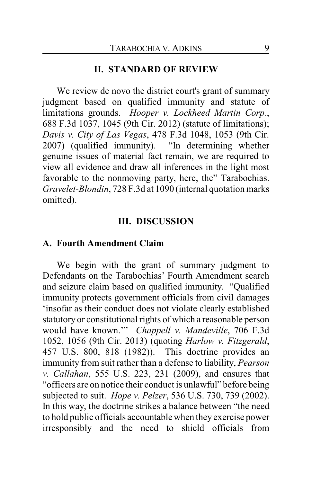#### **II. STANDARD OF REVIEW**

We review de novo the district court's grant of summary judgment based on qualified immunity and statute of limitations grounds. *Hooper v. Lockheed Martin Corp.*, 688 F.3d 1037, 1045 (9th Cir. 2012) (statute of limitations); *Davis v. City of Las Vegas*, 478 F.3d 1048, 1053 (9th Cir. 2007) (qualified immunity). "In determining whether genuine issues of material fact remain, we are required to view all evidence and draw all inferences in the light most favorable to the nonmoving party, here, the" Tarabochias. *Gravelet-Blondin*, 728 F.3d at 1090 (internal quotation marks omitted).

#### **III. DISCUSSION**

#### **A. Fourth Amendment Claim**

We begin with the grant of summary judgment to Defendants on the Tarabochias' Fourth Amendment search and seizure claim based on qualified immunity. "Qualified immunity protects government officials from civil damages 'insofar as their conduct does not violate clearly established statutory or constitutional rights of which a reasonable person would have known.'" *Chappell v. Mandeville*, 706 F.3d 1052, 1056 (9th Cir. 2013) (quoting *Harlow v. Fitzgerald*, 457 U.S. 800, 818 (1982)). This doctrine provides an immunity from suit rather than a defense to liability, *Pearson v. Callahan*, 555 U.S. 223, 231 (2009), and ensures that "officers are on notice their conduct is unlawful" before being subjected to suit. *Hope v. Pelzer*, 536 U.S. 730, 739 (2002). In this way, the doctrine strikes a balance between "the need to hold public officials accountable when they exercise power irresponsibly and the need to shield officials from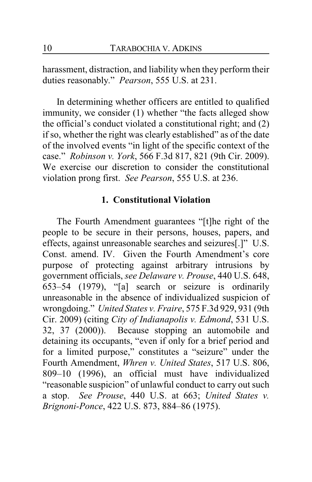harassment, distraction, and liability when they perform their duties reasonably." *Pearson*, 555 U.S. at 231.

In determining whether officers are entitled to qualified immunity, we consider (1) whether "the facts alleged show the official's conduct violated a constitutional right; and (2) if so, whether the right was clearly established" as of the date of the involved events "in light of the specific context of the case." *Robinson v. York*, 566 F.3d 817, 821 (9th Cir. 2009). We exercise our discretion to consider the constitutional violation prong first. *See Pearson*, 555 U.S. at 236.

## **1. Constitutional Violation**

The Fourth Amendment guarantees "[t]he right of the people to be secure in their persons, houses, papers, and effects, against unreasonable searches and seizures[.]" U.S. Const. amend. IV. Given the Fourth Amendment's core purpose of protecting against arbitrary intrusions by government officials, *see Delaware v. Prouse*, 440 U.S. 648, 653–54 (1979), "[a] search or seizure is ordinarily unreasonable in the absence of individualized suspicion of wrongdoing." *United States v. Fraire*, 575 F.3d 929, 931 (9th Cir. 2009) (citing *City of Indianapolis v. Edmond*, 531 U.S. 32, 37 (2000)). Because stopping an automobile and detaining its occupants, "even if only for a brief period and for a limited purpose," constitutes a "seizure" under the Fourth Amendment, *Whren v. United States*, 517 U.S. 806, 809–10 (1996), an official must have individualized "reasonable suspicion" of unlawful conduct to carry out such a stop. *See Prouse*, 440 U.S. at 663; *United States v. Brignoni-Ponce*, 422 U.S. 873, 884–86 (1975).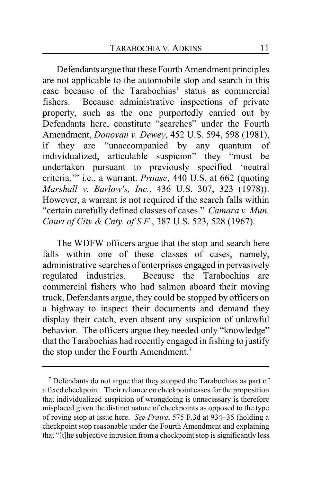Defendants argue that these Fourth Amendment principles are not applicable to the automobile stop and search in this case because of the Tarabochias' status as commercial fishers. Because administrative inspections of private property, such as the one purportedly carried out by Defendants here, constitute "searches" under the Fourth Amendment, *Donovan v. Dewey*, 452 U.S. 594, 598 (1981), if they are "unaccompanied by any quantum of individualized, articulable suspicion" they "must be undertaken pursuant to previously specified 'neutral criteria,'" i.e., a warrant. *Prouse*, 440 U.S. at 662 (quoting *Marshall v. Barlow's, Inc.*, 436 U.S. 307, 323 (1978)). However, a warrant is not required if the search falls within "certain carefully defined classes of cases." *Camara v. Mun. Court of City & Cnty. of S.F.*, 387 U.S. 523, 528 (1967).

The WDFW officers argue that the stop and search here falls within one of these classes of cases, namely, administrative searches of enterprises engaged in pervasively regulated industries. Because the Tarabochias are commercial fishers who had salmon aboard their moving truck, Defendants argue, they could be stopped by officers on a highway to inspect their documents and demand they display their catch, even absent any suspicion of unlawful behavior. The officers argue they needed only "knowledge" that the Tarabochias had recently engaged in fishing to justify the stop under the Fourth Amendment.**<sup>7</sup>**

**<sup>7</sup>** Defendants do not argue that they stopped the Tarabochias as part of a fixed checkpoint. Their reliance on checkpoint cases for the proposition that individualized suspicion of wrongdoing is unnecessary is therefore misplaced given the distinct nature of checkpoints as opposed to the type of roving stop at issue here. *See Fraire*, 575 F.3d at 934–35 (holding a checkpoint stop reasonable under the Fourth Amendment and explaining that "[t]he subjective intrusion from a checkpoint stop is significantly less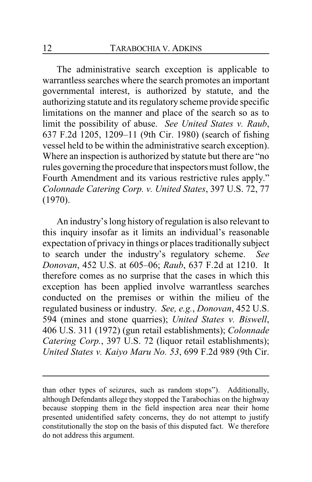The administrative search exception is applicable to warrantless searches where the search promotes an important governmental interest, is authorized by statute, and the authorizing statute and its regulatory scheme provide specific limitations on the manner and place of the search so as to limit the possibility of abuse. *See United States v. Raub*, 637 F.2d 1205, 1209–11 (9th Cir. 1980) (search of fishing vessel held to be within the administrative search exception). Where an inspection is authorized by statute but there are "no rules governing the procedure that inspectors must follow, the Fourth Amendment and its various restrictive rules apply." *Colonnade Catering Corp. v. United States*, 397 U.S. 72, 77 (1970).

An industry's long history of regulation is also relevant to this inquiry insofar as it limits an individual's reasonable expectation of privacy in things or places traditionally subject to search under the industry's regulatory scheme. *See Donovan*, 452 U.S. at 605–06; *Raub*, 637 F.2d at 1210. It therefore comes as no surprise that the cases in which this exception has been applied involve warrantless searches conducted on the premises or within the milieu of the regulated business or industry. *See, e.g.*, *Donovan*, 452 U.S. 594 (mines and stone quarries); *United States v. Biswell*, 406 U.S. 311 (1972) (gun retail establishments); *Colonnade Catering Corp.*, 397 U.S. 72 (liquor retail establishments); *United States v. Kaiyo Maru No. 53*, 699 F.2d 989 (9th Cir.

than other types of seizures, such as random stops"). Additionally, although Defendants allege they stopped the Tarabochias on the highway because stopping them in the field inspection area near their home presented unidentified safety concerns, they do not attempt to justify constitutionally the stop on the basis of this disputed fact. We therefore do not address this argument.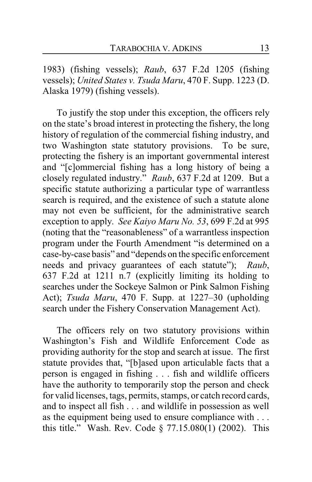1983) (fishing vessels); *Raub*, 637 F.2d 1205 (fishing vessels); *United States v. Tsuda Maru*, 470 F. Supp. 1223 (D. Alaska 1979) (fishing vessels).

To justify the stop under this exception, the officers rely on the state's broad interest in protecting the fishery, the long history of regulation of the commercial fishing industry, and two Washington state statutory provisions. To be sure, protecting the fishery is an important governmental interest and "[c]ommercial fishing has a long history of being a closely regulated industry." *Raub*, 637 F.2d at 1209. But a specific statute authorizing a particular type of warrantless search is required, and the existence of such a statute alone may not even be sufficient, for the administrative search exception to apply. *See Kaiyo Maru No. 53*, 699 F.2d at 995 (noting that the "reasonableness" of a warrantless inspection program under the Fourth Amendment "is determined on a case-by-case basis" and "depends on the specific enforcement needs and privacy guarantees of each statute"); *Raub*, 637 F.2d at 1211 n.7 (explicitly limiting its holding to searches under the Sockeye Salmon or Pink Salmon Fishing Act); *Tsuda Maru*, 470 F. Supp. at 1227–30 (upholding search under the Fishery Conservation Management Act).

The officers rely on two statutory provisions within Washington's Fish and Wildlife Enforcement Code as providing authority for the stop and search at issue. The first statute provides that, "[b]ased upon articulable facts that a person is engaged in fishing . . . fish and wildlife officers have the authority to temporarily stop the person and check for valid licenses, tags, permits, stamps, or catch record cards, and to inspect all fish . . . and wildlife in possession as well as the equipment being used to ensure compliance with . . . this title." Wash. Rev. Code § 77.15.080(1) (2002). This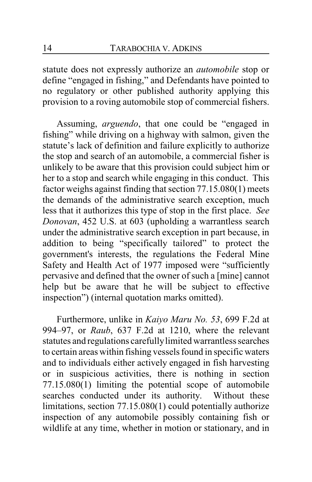statute does not expressly authorize an *automobile* stop or define "engaged in fishing," and Defendants have pointed to no regulatory or other published authority applying this provision to a roving automobile stop of commercial fishers.

Assuming, *arguendo*, that one could be "engaged in fishing" while driving on a highway with salmon, given the statute's lack of definition and failure explicitly to authorize the stop and search of an automobile, a commercial fisher is unlikely to be aware that this provision could subject him or her to a stop and search while engaging in this conduct. This factor weighs against finding that section 77.15.080(1) meets the demands of the administrative search exception, much less that it authorizes this type of stop in the first place. *See Donovan*, 452 U.S. at 603 (upholding a warrantless search under the administrative search exception in part because, in addition to being "specifically tailored" to protect the government's interests, the regulations the Federal Mine Safety and Health Act of 1977 imposed were "sufficiently pervasive and defined that the owner of such a [mine] cannot help but be aware that he will be subject to effective inspection") (internal quotation marks omitted).

Furthermore, unlike in *Kaiyo Maru No. 53*, 699 F.2d at 994–97, or *Raub*, 637 F.2d at 1210, where the relevant statutes and regulations carefullylimited warrantless searches to certain areas within fishing vessels found in specific waters and to individuals either actively engaged in fish harvesting or in suspicious activities, there is nothing in section 77.15.080(1) limiting the potential scope of automobile searches conducted under its authority. Without these limitations, section 77.15.080(1) could potentially authorize inspection of any automobile possibly containing fish or wildlife at any time, whether in motion or stationary, and in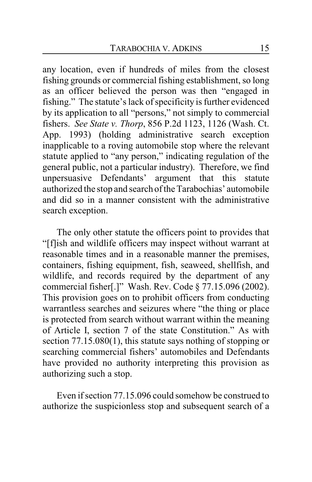any location, even if hundreds of miles from the closest fishing grounds or commercial fishing establishment, so long as an officer believed the person was then "engaged in fishing." The statute's lack of specificity is further evidenced by its application to all "persons," not simply to commercial fishers. *See State v. Thorp*, 856 P.2d 1123, 1126 (Wash. Ct. App. 1993) (holding administrative search exception inapplicable to a roving automobile stop where the relevant statute applied to "any person," indicating regulation of the general public, not a particular industry). Therefore, we find unpersuasive Defendants' argument that this statute authorized the stop and search of the Tarabochias' automobile and did so in a manner consistent with the administrative search exception.

The only other statute the officers point to provides that "[f]ish and wildlife officers may inspect without warrant at reasonable times and in a reasonable manner the premises, containers, fishing equipment, fish, seaweed, shellfish, and wildlife, and records required by the department of any commercial fisher[.]" Wash. Rev. Code § 77.15.096 (2002). This provision goes on to prohibit officers from conducting warrantless searches and seizures where "the thing or place is protected from search without warrant within the meaning of Article I, section 7 of the state Constitution." As with section 77.15.080(1), this statute says nothing of stopping or searching commercial fishers' automobiles and Defendants have provided no authority interpreting this provision as authorizing such a stop.

Even if section 77.15.096 could somehow be construed to authorize the suspicionless stop and subsequent search of a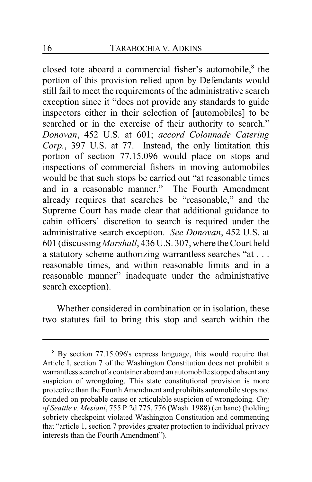closed tote aboard a commercial fisher's automobile,**<sup>8</sup>** the portion of this provision relied upon by Defendants would still fail to meet the requirements of the administrative search exception since it "does not provide any standards to guide inspectors either in their selection of [automobiles] to be searched or in the exercise of their authority to search." *Donovan*, 452 U.S. at 601; *accord Colonnade Catering Corp.*, 397 U.S. at 77. Instead, the only limitation this portion of section 77.15.096 would place on stops and inspections of commercial fishers in moving automobiles would be that such stops be carried out "at reasonable times and in a reasonable manner." The Fourth Amendment already requires that searches be "reasonable," and the Supreme Court has made clear that additional guidance to cabin officers' discretion to search is required under the administrative search exception. *See Donovan*, 452 U.S. at 601 (discussing *Marshall*, 436 U.S. 307, where the Court held a statutory scheme authorizing warrantless searches "at . . . reasonable times, and within reasonable limits and in a reasonable manner" inadequate under the administrative search exception).

Whether considered in combination or in isolation, these two statutes fail to bring this stop and search within the

**<sup>8</sup>** By section 77.15.096's express language, this would require that Article I, section 7 of the Washington Constitution does not prohibit a warrantless search of a container aboard an automobile stopped absent any suspicion of wrongdoing. This state constitutional provision is more protective than the Fourth Amendment and prohibits automobile stops not founded on probable cause or articulable suspicion of wrongdoing. *City of Seattle v. Mesiani*, 755 P.2d 775, 776 (Wash. 1988) (en banc) (holding sobriety checkpoint violated Washington Constitution and commenting that "article 1, section 7 provides greater protection to individual privacy interests than the Fourth Amendment").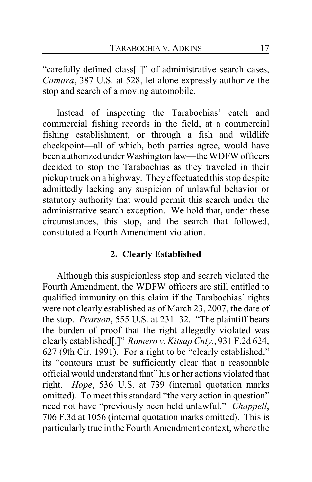"carefully defined class[ ]" of administrative search cases, *Camara*, 387 U.S. at 528, let alone expressly authorize the stop and search of a moving automobile.

Instead of inspecting the Tarabochias' catch and commercial fishing records in the field, at a commercial fishing establishment, or through a fish and wildlife checkpoint—all of which, both parties agree, would have been authorized under Washington law—the WDFW officers decided to stop the Tarabochias as they traveled in their pickup truck on a highway. They effectuated this stop despite admittedly lacking any suspicion of unlawful behavior or statutory authority that would permit this search under the administrative search exception. We hold that, under these circumstances, this stop, and the search that followed, constituted a Fourth Amendment violation.

## **2. Clearly Established**

Although this suspicionless stop and search violated the Fourth Amendment, the WDFW officers are still entitled to qualified immunity on this claim if the Tarabochias' rights were not clearly established as of March 23, 2007, the date of the stop. *Pearson*, 555 U.S. at 231–32. "The plaintiff bears the burden of proof that the right allegedly violated was clearly established[.]" *Romero v. Kitsap Cnty.*, 931 F.2d 624, 627 (9th Cir. 1991). For a right to be "clearly established," its "contours must be sufficiently clear that a reasonable official would understand that" his or her actions violated that right. *Hope*, 536 U.S. at 739 (internal quotation marks omitted). To meet this standard "the very action in question" need not have "previously been held unlawful." *Chappell*, 706 F.3d at 1056 (internal quotation marks omitted). This is particularly true in the Fourth Amendment context, where the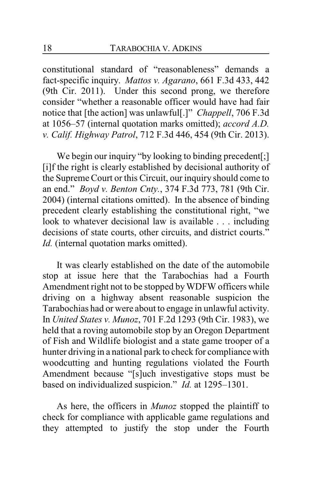constitutional standard of "reasonableness" demands a fact-specific inquiry. *Mattos v. Agarano*, 661 F.3d 433, 442 (9th Cir. 2011). Under this second prong, we therefore consider "whether a reasonable officer would have had fair notice that [the action] was unlawful[.]" *Chappell*, 706 F.3d at 1056–57 (internal quotation marks omitted); *accord A.D. v. Calif. Highway Patrol*, 712 F.3d 446, 454 (9th Cir. 2013).

We begin our inquiry "by looking to binding precedent[;] [i]f the right is clearly established by decisional authority of the Supreme Court or this Circuit, our inquiry should come to an end." *Boyd v. Benton Cnty.*, 374 F.3d 773, 781 (9th Cir. 2004) (internal citations omitted). In the absence of binding precedent clearly establishing the constitutional right, "we look to whatever decisional law is available . . . including decisions of state courts, other circuits, and district courts." *Id.* (internal quotation marks omitted).

It was clearly established on the date of the automobile stop at issue here that the Tarabochias had a Fourth Amendment right not to be stopped by WDFW officers while driving on a highway absent reasonable suspicion the Tarabochias had or were about to engage in unlawful activity. In *United States v. Munoz*, 701 F.2d 1293 (9th Cir. 1983), we held that a roving automobile stop by an Oregon Department of Fish and Wildlife biologist and a state game trooper of a hunter driving in a national park to check for compliance with woodcutting and hunting regulations violated the Fourth Amendment because "[s]uch investigative stops must be based on individualized suspicion." *Id.* at 1295–1301.

As here, the officers in *Munoz* stopped the plaintiff to check for compliance with applicable game regulations and they attempted to justify the stop under the Fourth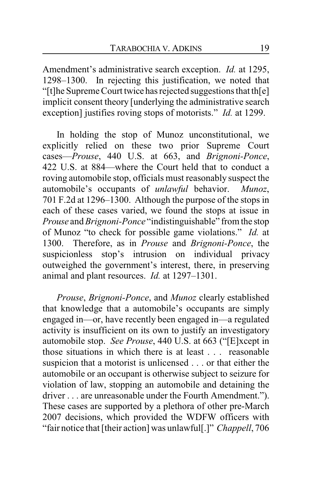Amendment's administrative search exception. *Id.* at 1295, 1298–1300. In rejecting this justification, we noted that "[t]he Supreme Court twice has rejected suggestions that th[e] implicit consent theory [underlying the administrative search exception] justifies roving stops of motorists." *Id.* at 1299.

In holding the stop of Munoz unconstitutional, we explicitly relied on these two prior Supreme Court cases—*Prouse*, 440 U.S. at 663, and *Brignoni-Ponce*, 422 U.S. at 884—where the Court held that to conduct a roving automobile stop, officials must reasonably suspect the automobile's occupants of *unlawful* behavior. *Munoz*, 701 F.2d at 1296–1300. Although the purpose of the stops in each of these cases varied, we found the stops at issue in *Prouse* and *Brignoni-Ponce* "indistinguishable" from the stop of Munoz "to check for possible game violations." *Id.* at 1300. Therefore, as in *Prouse* and *Brignoni-Ponce*, the suspicionless stop's intrusion on individual privacy outweighed the government's interest, there, in preserving animal and plant resources. *Id.* at 1297–1301.

*Prouse*, *Brignoni-Ponce*, and *Munoz* clearly established that knowledge that a automobile's occupants are simply engaged in—or, have recently been engaged in—a regulated activity is insufficient on its own to justify an investigatory automobile stop. *See Prouse*, 440 U.S. at 663 ("[E]xcept in those situations in which there is at least . . . reasonable suspicion that a motorist is unlicensed . . . or that either the automobile or an occupant is otherwise subject to seizure for violation of law, stopping an automobile and detaining the driver . . . are unreasonable under the Fourth Amendment."). These cases are supported by a plethora of other pre-March 2007 decisions, which provided the WDFW officers with "fair notice that [their action] was unlawful[.]" *Chappell*, 706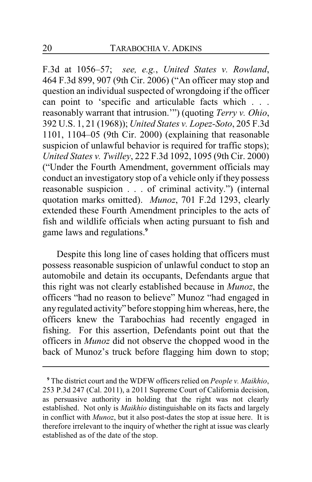F.3d at 1056–57; *see, e.g.*, *United States v. Rowland*, 464 F.3d 899, 907 (9th Cir. 2006) ("An officer may stop and question an individual suspected of wrongdoing if the officer can point to 'specific and articulable facts which . . . reasonably warrant that intrusion.'") (quoting *Terry v. Ohio*, 392 U.S. 1, 21 (1968)); *United States v. Lopez-Soto*, 205 F.3d 1101, 1104–05 (9th Cir. 2000) (explaining that reasonable suspicion of unlawful behavior is required for traffic stops); *United States v. Twilley*, 222 F.3d 1092, 1095 (9th Cir. 2000) ("Under the Fourth Amendment, government officials may conduct an investigatory stop of a vehicle only if they possess reasonable suspicion . . . of criminal activity.") (internal quotation marks omitted). *Munoz*, 701 F.2d 1293, clearly extended these Fourth Amendment principles to the acts of fish and wildlife officials when acting pursuant to fish and game laws and regulations.**<sup>9</sup>**

Despite this long line of cases holding that officers must possess reasonable suspicion of unlawful conduct to stop an automobile and detain its occupants, Defendants argue that this right was not clearly established because in *Munoz*, the officers "had no reason to believe" Munoz "had engaged in any regulated activity" before stopping him whereas, here, the officers knew the Tarabochias had recently engaged in fishing. For this assertion, Defendants point out that the officers in *Munoz* did not observe the chopped wood in the back of Munoz's truck before flagging him down to stop;

**<sup>9</sup>** The district court and the WDFW officers relied on *People v. Maikhio*, 253 P.3d 247 (Cal. 2011), a 2011 Supreme Court of California decision, as persuasive authority in holding that the right was not clearly established. Not only is *Maikhio* distinguishable on its facts and largely in conflict with *Munoz*, but it also post-dates the stop at issue here. It is therefore irrelevant to the inquiry of whether the right at issue was clearly established as of the date of the stop.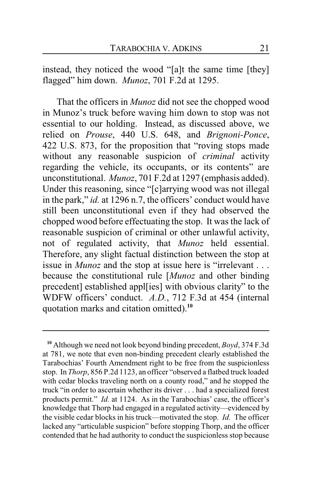instead, they noticed the wood "[a]t the same time [they] flagged" him down. *Munoz*, 701 F.2d at 1295.

That the officers in *Munoz* did not see the chopped wood in Munoz's truck before waving him down to stop was not essential to our holding. Instead, as discussed above, we relied on *Prouse*, 440 U.S. 648, and *Brignoni-Ponce*, 422 U.S. 873, for the proposition that "roving stops made without any reasonable suspicion of *criminal* activity regarding the vehicle, its occupants, or its contents" are unconstitutional. *Munoz*, 701 F.2d at 1297 (emphasis added). Under this reasoning, since "[c]arrying wood was not illegal in the park," *id.* at 1296 n.7, the officers' conduct would have still been unconstitutional even if they had observed the chopped wood before effectuating the stop. It was the lack of reasonable suspicion of criminal or other unlawful activity, not of regulated activity, that *Munoz* held essential. Therefore, any slight factual distinction between the stop at issue in *Munoz* and the stop at issue here is "irrelevant . . . because the constitutional rule [*Munoz* and other binding precedent] established appl[ies] with obvious clarity" to the WDFW officers' conduct. *A.D.*, 712 F.3d at 454 (internal quotation marks and citation omitted).**<sup>10</sup>**

**<sup>10</sup>** Although we need not look beyond binding precedent, *Boyd*, 374 F.3d at 781, we note that even non-binding precedent clearly established the Tarabochias' Fourth Amendment right to be free from the suspicionless stop. In *Thorp*, 856 P.2d 1123, an officer "observed a flatbed truck loaded with cedar blocks traveling north on a county road," and he stopped the truck "in order to ascertain whether its driver . . . had a specialized forest products permit." *Id.* at 1124. As in the Tarabochias' case, the officer's knowledge that Thorp had engaged in a regulated activity—evidenced by the visible cedar blocks in his truck—motivated the stop. *Id.* The officer lacked any "articulable suspicion" before stopping Thorp, and the officer contended that he had authority to conduct the suspicionless stop because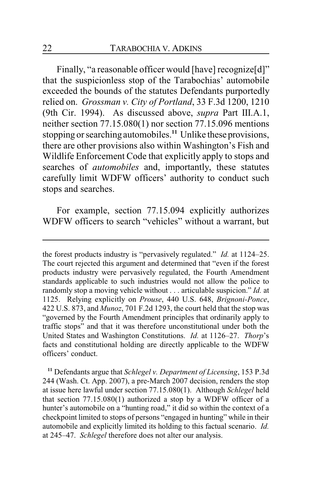Finally, "a reasonable officer would [have] recognize[d]" that the suspicionless stop of the Tarabochias' automobile exceeded the bounds of the statutes Defendants purportedly relied on. *Grossman v. City of Portland*, 33 F.3d 1200, 1210 (9th Cir. 1994). As discussed above, *supra* Part III.A.1, neither section 77.15.080(1) nor section 77.15.096 mentions stopping or searching automobiles.**<sup>11</sup>** Unlike these provisions, there are other provisions also within Washington's Fish and Wildlife Enforcement Code that explicitly apply to stops and searches of *automobiles* and, importantly, these statutes carefully limit WDFW officers' authority to conduct such stops and searches.

For example, section 77.15.094 explicitly authorizes WDFW officers to search "vehicles" without a warrant, but

the forest products industry is "pervasively regulated." *Id.* at 1124–25. The court rejected this argument and determined that "even if the forest products industry were pervasively regulated, the Fourth Amendment standards applicable to such industries would not allow the police to randomly stop a moving vehicle without . . . articulable suspicion." *Id.* at 1125. Relying explicitly on *Prouse*, 440 U.S. 648, *Brignoni-Ponce*, 422 U.S. 873, and *Munoz*, 701 F.2d 1293, the court held that the stop was "governed by the Fourth Amendment principles that ordinarily apply to traffic stops" and that it was therefore unconstitutional under both the United States and Washington Constitutions. *Id.* at 1126–27. *Thorp*'s facts and constitutional holding are directly applicable to the WDFW officers' conduct.

**<sup>11</sup>** Defendants argue that *Schlegel v. Department of Licensing*, 153 P.3d 244 (Wash. Ct. App. 2007), a pre-March 2007 decision, renders the stop at issue here lawful under section 77.15.080(1). Although *Schlegel* held that section 77.15.080(1) authorized a stop by a WDFW officer of a hunter's automobile on a "hunting road," it did so within the context of a checkpoint limited to stops of persons "engaged in hunting" while in their automobile and explicitly limited its holding to this factual scenario. *Id.* at 245–47. *Schlegel* therefore does not alter our analysis.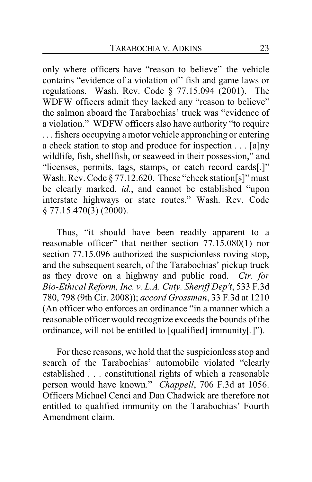only where officers have "reason to believe" the vehicle contains "evidence of a violation of" fish and game laws or regulations. Wash. Rev. Code § 77.15.094 (2001). The WDFW officers admit they lacked any "reason to believe" the salmon aboard the Tarabochias' truck was "evidence of a violation." WDFW officers also have authority "to require . . . fishers occupying a motor vehicle approaching or entering a check station to stop and produce for inspection . . . [a]ny wildlife, fish, shellfish, or seaweed in their possession," and "licenses, permits, tags, stamps, or catch record cards[.]" Wash. Rev. Code § 77.12.620. These "check station[s]" must be clearly marked, *id.*, and cannot be established "upon interstate highways or state routes." Wash. Rev. Code § 77.15.470(3) (2000).

Thus, "it should have been readily apparent to a reasonable officer" that neither section 77.15.080(1) nor section 77.15.096 authorized the suspicionless roving stop, and the subsequent search, of the Tarabochias' pickup truck as they drove on a highway and public road. *Ctr. for Bio-Ethical Reform, Inc. v. L.A. Cnty. Sheriff Dep't*, 533 F.3d 780, 798 (9th Cir. 2008)); *accord Grossman*, 33 F.3d at 1210 (An officer who enforces an ordinance "in a manner which a reasonable officer would recognize exceeds the bounds of the ordinance, will not be entitled to [qualified] immunity[.]").

For these reasons, we hold that the suspicionless stop and search of the Tarabochias' automobile violated "clearly established . . . constitutional rights of which a reasonable person would have known." *Chappell*, 706 F.3d at 1056. Officers Michael Cenci and Dan Chadwick are therefore not entitled to qualified immunity on the Tarabochias' Fourth Amendment claim.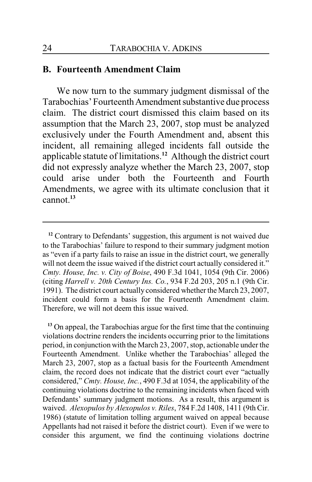#### **B. Fourteenth Amendment Claim**

We now turn to the summary judgment dismissal of the Tarabochias' Fourteenth Amendment substantive due process claim. The district court dismissed this claim based on its assumption that the March 23, 2007, stop must be analyzed exclusively under the Fourth Amendment and, absent this incident, all remaining alleged incidents fall outside the applicable statute of limitations.**<sup>12</sup>** Although the district court did not expressly analyze whether the March 23, 2007, stop could arise under both the Fourteenth and Fourth Amendments, we agree with its ultimate conclusion that it cannot.**<sup>13</sup>**

**<sup>13</sup>** On appeal, the Tarabochias argue for the first time that the continuing violations doctrine renders the incidents occurring prior to the limitations period, in conjunction with the March 23, 2007, stop, actionable under the Fourteenth Amendment. Unlike whether the Tarabochias' alleged the March 23, 2007, stop as a factual basis for the Fourteenth Amendment claim, the record does not indicate that the district court ever "actually considered," *Cmty. House, Inc.*, 490 F.3d at 1054, the applicability of the continuing violations doctrine to the remaining incidents when faced with Defendants' summary judgment motions. As a result, this argument is waived. *Alexopulos by Alexopulos v. Riles*, 784 F.2d 1408, 1411 (9th Cir. 1986) (statute of limitation tolling argument waived on appeal because Appellants had not raised it before the district court). Even if we were to consider this argument, we find the continuing violations doctrine

**<sup>12</sup>** Contrary to Defendants' suggestion, this argument is not waived due to the Tarabochias' failure to respond to their summary judgment motion as "even if a party fails to raise an issue in the district court, we generally will not deem the issue waived if the district court actually considered it." *Cmty. House, Inc. v. City of Boise*, 490 F.3d 1041, 1054 (9th Cir. 2006) (citing *Harrell v. 20th Century Ins. Co.*, 934 F.2d 203, 205 n.1 (9th Cir. 1991). The district court actually considered whether the March 23, 2007, incident could form a basis for the Fourteenth Amendment claim. Therefore, we will not deem this issue waived.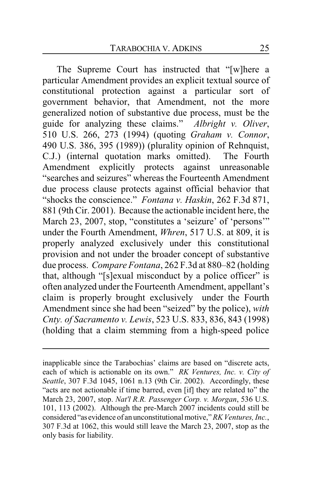The Supreme Court has instructed that "[w]here a particular Amendment provides an explicit textual source of constitutional protection against a particular sort of government behavior, that Amendment, not the more generalized notion of substantive due process, must be the guide for analyzing these claims." *Albright v. Oliver*, 510 U.S. 266, 273 (1994) (quoting *Graham v. Connor*, 490 U.S. 386, 395 (1989)) (plurality opinion of Rehnquist, C.J.) (internal quotation marks omitted). The Fourth Amendment explicitly protects against unreasonable "searches and seizures" whereas the Fourteenth Amendment due process clause protects against official behavior that "shocks the conscience." *Fontana v. Haskin*, 262 F.3d 871, 881 (9th Cir. 2001). Because the actionable incident here, the March 23, 2007, stop, "constitutes a 'seizure' of 'persons'" under the Fourth Amendment, *Whren*, 517 U.S. at 809, it is properly analyzed exclusively under this constitutional provision and not under the broader concept of substantive due process. *Compare Fontana*, 262 F.3d at 880–82 (holding that, although "[s]exual misconduct by a police officer" is often analyzed under the Fourteenth Amendment, appellant's claim is properly brought exclusively under the Fourth Amendment since she had been "seized" by the police), *with Cnty. of Sacramento v. Lewis*, 523 U.S. 833, 836, 843 (1998) (holding that a claim stemming from a high-speed police

inapplicable since the Tarabochias' claims are based on "discrete acts, each of which is actionable on its own." *RK Ventures, Inc. v. City of Seattle*, 307 F.3d 1045, 1061 n.13 (9th Cir. 2002). Accordingly, these "acts are not actionable if time barred, even [if] they are related to" the March 23, 2007, stop. *Nat'l R.R. Passenger Corp. v. Morgan*, 536 U.S. 101, 113 (2002). Although the pre-March 2007 incidents could still be considered "as evidence of an unconstitutional motive," *RK Ventures, Inc.*, 307 F.3d at 1062, this would still leave the March 23, 2007, stop as the only basis for liability.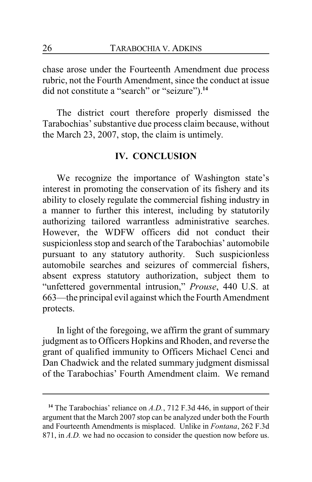chase arose under the Fourteenth Amendment due process rubric, not the Fourth Amendment, since the conduct at issue did not constitute a "search" or "seizure").**<sup>14</sup>**

The district court therefore properly dismissed the Tarabochias' substantive due process claim because, without the March 23, 2007, stop, the claim is untimely.

### **IV. CONCLUSION**

We recognize the importance of Washington state's interest in promoting the conservation of its fishery and its ability to closely regulate the commercial fishing industry in a manner to further this interest, including by statutorily authorizing tailored warrantless administrative searches. However, the WDFW officers did not conduct their suspicionless stop and search of the Tarabochias' automobile pursuant to any statutory authority. Such suspicionless automobile searches and seizures of commercial fishers, absent express statutory authorization, subject them to "unfettered governmental intrusion," *Prouse*, 440 U.S. at 663—the principal evil against which the Fourth Amendment protects.

In light of the foregoing, we affirm the grant of summary judgment as to Officers Hopkins and Rhoden, and reverse the grant of qualified immunity to Officers Michael Cenci and Dan Chadwick and the related summary judgment dismissal of the Tarabochias' Fourth Amendment claim. We remand

**<sup>14</sup>** The Tarabochias' reliance on *A.D.*, 712 F.3d 446, in support of their argument that the March 2007 stop can be analyzed under both the Fourth and Fourteenth Amendments is misplaced. Unlike in *Fontana*, 262 F.3d 871, in *A.D.* we had no occasion to consider the question now before us.